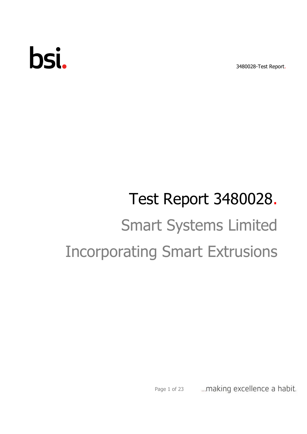3480028-Test Report.

# bsi.

# Test Report 3480028. Smart Systems Limited Incorporating Smart Extrusions

... making excellence a habit. Page 1 of 23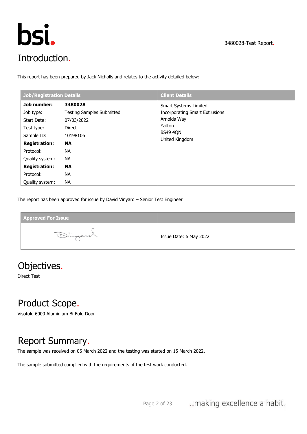

This report has been prepared by Jack Nicholls and relates to the activity detailed below:

| <b>Client Details</b>                                                                                                               |
|-------------------------------------------------------------------------------------------------------------------------------------|
| <b>Smart Systems Limited</b><br><b>Incorporating Smart Extrusions</b><br>Arnolds Way<br>Yatton<br><b>BS49 4QN</b><br>United Kingdom |
|                                                                                                                                     |
|                                                                                                                                     |
|                                                                                                                                     |
|                                                                                                                                     |

The report has been approved for issue by David Vinyard – Senior Test Engineer

**Approved For Issue Approver Name:** Issue Date: 6 May 2022

# Objectives.

Direct Test

# Product Scope.

Visofold 6000 Aluminium Bi-Fold Door

# Report Summary.

The sample was received on 05 March 2022 and the testing was started on 15 March 2022.

The sample submitted complied with the requirements of the test work conducted.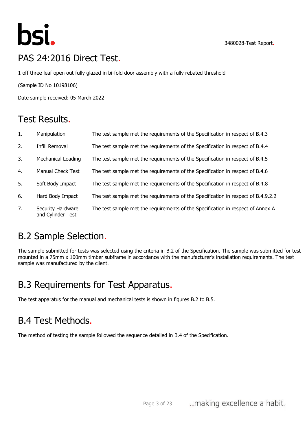

# PAS 24:2016 Direct Test.

1 off three leaf open out fully glazed in bi-fold door assembly with a fully rebated threshold

(Sample ID No 10198106)

Date sample received: 05 March 2022

# Test Results.

| 1. | Manipulation                           | The test sample met the requirements of the Specification in respect of B.4.3     |
|----|----------------------------------------|-----------------------------------------------------------------------------------|
| 2. | Infill Removal                         | The test sample met the requirements of the Specification in respect of B.4.4     |
| 3. | <b>Mechanical Loading</b>              | The test sample met the requirements of the Specification in respect of B.4.5     |
| 4. | <b>Manual Check Test</b>               | The test sample met the requirements of the Specification in respect of B.4.6     |
| 5. | Soft Body Impact                       | The test sample met the requirements of the Specification in respect of B.4.8     |
| 6. | Hard Body Impact                       | The test sample met the requirements of the Specification in respect of B.4.9.2.2 |
| 7. | Security Hardware<br>and Cylinder Test | The test sample met the requirements of the Specification in respect of Annex A   |

# B.2 Sample Selection.

The sample submitted for tests was selected using the criteria in B.2 of the Specification. The sample was submitted for test mounted in a 75mm x 100mm timber subframe in accordance with the manufacturer's installation requirements. The test sample was manufactured by the client.

# B.3 Requirements for Test Apparatus.

The test apparatus for the manual and mechanical tests is shown in figures B.2 to B.5.

# B.4 Test Methods.

The method of testing the sample followed the sequence detailed in B.4 of the Specification.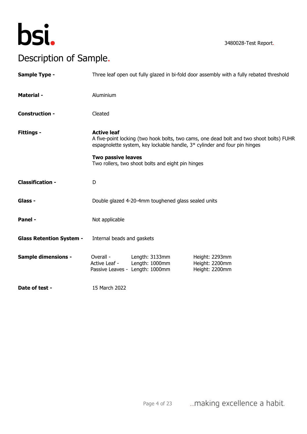

3480028-Test Report.

# Description of Sample.

| <b>Sample Type -</b>            |                                                 |                                                                     | Three leaf open out fully glazed in bi-fold door assembly with a fully rebated threshold                                                                             |
|---------------------------------|-------------------------------------------------|---------------------------------------------------------------------|----------------------------------------------------------------------------------------------------------------------------------------------------------------------|
| <b>Material -</b>               | Aluminium                                       |                                                                     |                                                                                                                                                                      |
| <b>Construction -</b>           | Cleated                                         |                                                                     |                                                                                                                                                                      |
| <b>Fittings -</b>               | <b>Active leaf</b><br><b>Two passive leaves</b> | Two rollers, two shoot bolts and eight pin hinges                   | A five-point locking (two hook bolts, two cams, one dead bolt and two shoot bolts) FUHR<br>espagnolette system, key lockable handle, 3* cylinder and four pin hinges |
| <b>Classification -</b>         | D                                               |                                                                     |                                                                                                                                                                      |
| Glass -                         |                                                 | Double glazed 4-20-4mm toughened glass sealed units                 |                                                                                                                                                                      |
| Panel -                         | Not applicable                                  |                                                                     |                                                                                                                                                                      |
| <b>Glass Retention System -</b> | Internal beads and gaskets                      |                                                                     |                                                                                                                                                                      |
| <b>Sample dimensions -</b>      | Overall -<br>Active Leaf -                      | Length: 3133mm<br>Length: 1000mm<br>Passive Leaves - Length: 1000mm | Height: 2293mm<br>Height: 2200mm<br>Height: 2200mm                                                                                                                   |
| Date of test -                  | 15 March 2022                                   |                                                                     |                                                                                                                                                                      |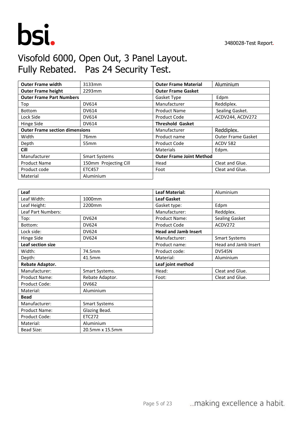

Material: **Aluminium** 

Bead Size: 20.5mm x 15.5mm

# Visofold 6000, Open Out, 3 Panel Layout. Fully Rebated. Pas 24 Security Test.

| <b>Outer Frame width</b>              | 3133mm                | <b>Outer Frame Material</b>     | Aluminium          |
|---------------------------------------|-----------------------|---------------------------------|--------------------|
| <b>Outer Frame height</b>             | 2293mm                | <b>Outer Frame Gasket</b>       |                    |
| <b>Outer Frame Part Numbers</b>       |                       | Gasket Type                     | Edpm               |
| Top                                   | <b>DV614</b>          | Manufacturer                    | Reddiplex.         |
| <b>Bottom</b>                         | <b>DV614</b>          | <b>Product Name</b>             | Sealing Gasket.    |
| Lock Side                             | <b>DV614</b>          | Product Code                    | ACDV244, ACDV272   |
| Hinge Side                            | <b>DV614</b>          | <b>Threshold Gasket</b>         |                    |
| <b>Outer Frame section dimensions</b> |                       | Manufacturer                    | Reddiplex.         |
| Width                                 | 76mm                  | Product name                    | Outer Frame Gasket |
| Depth                                 | 55 <sub>mm</sub>      | Product Code                    | <b>ACDV 582</b>    |
| <b>Cill</b>                           |                       | Materials                       | Edpm.              |
| Manufacturer                          | <b>Smart Systems</b>  | <b>Outer Frame Joint Method</b> |                    |
| <b>Product Name</b>                   | 150mm Projecting Cill | Head                            | Cleat and Glue.    |
| Product code                          | <b>ETC457</b>         | Foot                            | Cleat and Glue.    |
| Material                              | Aluminium             |                                 |                    |

| Leaf                      |                      | <b>Leaf Material:</b>       | Aluminium            |
|---------------------------|----------------------|-----------------------------|----------------------|
| Leaf Width:               | 1000mm               | <b>Leaf Gasket</b>          |                      |
| Leaf Height:              | 2200mm               | Gasket type:                | Edpm                 |
| <b>Leaf Part Numbers:</b> |                      | Manufacturer:               | Reddplex.            |
| Top:                      | <b>DV624</b>         | <b>Product Name:</b>        | Sealing Gasket       |
| Bottom:                   | <b>DV624</b>         | Product Code                | ACDV272              |
| Lock side:                | <b>DV624</b>         | <b>Head and Jamb Insert</b> |                      |
| Hinge Side                | <b>DV624</b>         | Manufacturer:               | <b>Smart Systems</b> |
| Leaf section size         |                      | Product name:               | Head and Jamb Insert |
| Width:                    | 74.5mm               | Product code:               | <b>DV545N</b>        |
| Depth:                    | 41.5mm               | Material:                   | Aluminium            |
| Rebate Adaptor.           |                      | Leaf joint method           |                      |
| Manufacturer:             | Smart Systems.       | Head:                       | Cleat and Glue.      |
| <b>Product Name:</b>      | Rebate Adaptor.      | Foot:                       | Cleat and Glue.      |
| Product Code:             | <b>DV662</b>         |                             |                      |
| Material:                 | Aluminium            |                             |                      |
| <b>Bead</b>               |                      |                             |                      |
| Manufacturer:             | <b>Smart Systems</b> |                             |                      |
| <b>Product Name:</b>      | Glazing Bead.        |                             |                      |
| Product Code:             | <b>ETC272</b>        |                             |                      |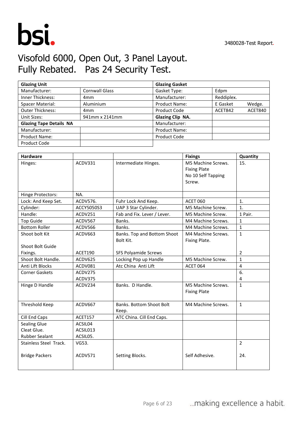

# Visofold 6000, Open Out, 3 Panel Layout. Fully Rebated. Pas 24 Security Test.

| <b>Glazing Unit</b>            |                       | <b>Glazing Gasket</b>   |            |         |
|--------------------------------|-----------------------|-------------------------|------------|---------|
| Manufacturer:                  | <b>Cornwall Glass</b> | Gasket Type:            | Edpm       |         |
| <b>Inner Thickness:</b>        | 4 <sub>mm</sub>       | Manufacturer:           | Reddiplex. |         |
| Spacer Material:               | Aluminium             | <b>Product Name:</b>    | E Gasket   | Wedge.  |
| <b>Outer Thickness:</b>        | 4mm                   | Product Code            | ACET842    | ACET840 |
| Unit Sizes:                    | 941mm x 2141mm        | <b>Glazing Clip NA.</b> |            |         |
| <b>Glazing Tape Details NA</b> |                       | Manufacturer:           |            |         |
| Manufacturer:                  |                       | <b>Product Name:</b>    |            |         |
| <b>Product Name:</b>           |                       | <b>Product Code</b>     |            |         |
| Product Code                   |                       |                         |            |         |

| <b>Hardware</b>        |            |                             | <b>Fixings</b>      | Quantity       |
|------------------------|------------|-----------------------------|---------------------|----------------|
| Hinges:                | ACDV331    | Intermediate Hinges.        | M5 Machine Screws.  | 15.            |
|                        |            |                             | <b>Fixing Plate</b> |                |
|                        |            |                             | No 10 Self Tapping  |                |
|                        |            |                             | Screw.              |                |
| Hinge Protectors:      | NA.        |                             |                     |                |
| Lock: And Keep Set.    | ACDV576.   | Fuhr Lock And Keep.         | <b>ACET 060</b>     | 1.             |
| Cylinder:              | ACCY5050S3 | UAP 3 Star Cylinder.        | M5 Machine Screw.   | $\mathbf{1}$ . |
| Handle:                | ACDV251    | Fab and Fix. Lever / Lever. | M5 Machine Screw.   | 1 Pair.        |
| <b>Top Guide</b>       | ACDV567    | Banks.                      | M4 Machine Screws.  | $\mathbf{1}$   |
| <b>Bottom Roller</b>   | ACDV566    | Banks.                      | M4 Machine Screws.  | $\mathbf{1}$   |
| Shoot bolt Kit         | ACDV663    | Banks. Top and Bottom Shoot | M4 Machine Screws.  | $\mathbf{1}$   |
|                        |            | Bolt Kit.                   | Fixing Plate.       |                |
| Shoot Bolt Guide       |            |                             |                     |                |
| Fixings.               | ACET190    | <b>SFS Polyamide Screws</b> |                     | 2              |
| Shoot Bolt Handle.     | ACDV625    | Locking Pop up Handle       | M5 Machine Screw.   | $\mathbf{1}$   |
| Anti Lift Blocks       | ACDV081    | Atc China Anti Lift         | <b>ACET 064</b>     | $\overline{4}$ |
| <b>Corner Gaskets</b>  | ACDV275    |                             |                     | 6.             |
|                        | ACDV375    |                             |                     | 4              |
| Hinge D Handle         | ACDV234    | Banks. D Handle.            | M5 Machine Screws.  | $\mathbf{1}$   |
|                        |            |                             | <b>Fixing Plate</b> |                |
|                        |            |                             |                     |                |
| Threshold Keep         | ACDV667    | Banks. Bottom Shoot Bolt    | M4 Machine Screws.  | $\mathbf{1}$   |
|                        |            | Keep.                       |                     |                |
| Cill End Caps          | ACET157    | ATC China. Cill End Caps.   |                     |                |
| <b>Sealing Glue</b>    | ACSIL04    |                             |                     |                |
| Cleat Glue.            | ACSIL013   |                             |                     |                |
| <b>Rubber Sealant</b>  | ACSIL05.   |                             |                     |                |
| Stainless Steel Track. | VG53.      |                             |                     | $\overline{2}$ |
|                        |            |                             |                     |                |
| <b>Bridge Packers</b>  | ACDV571    | Setting Blocks.             | Self Adhesive.      | 24.            |
|                        |            |                             |                     |                |
|                        |            |                             |                     |                |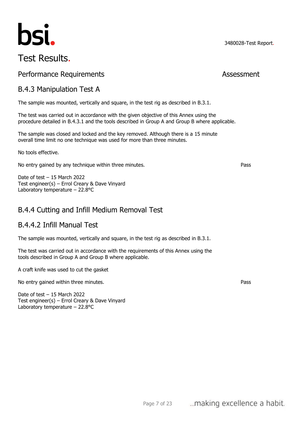# bsi.

# Test Results.

#### Performance Requirements **Assessment**

#### B.4.3 Manipulation Test A

The sample was mounted, vertically and square, in the test rig as described in B.3.1.

The test was carried out in accordance with the given objective of this Annex using the procedure detailed in B.4.3.1 and the tools described in Group A and Group B where applicable.

The sample was closed and locked and the key removed. Although there is a 15 minute overall time limit no one technique was used for more than three minutes.

No tools effective.

No entry gained by any technique within three minutes. Pass

Date of test – 15 March 2022 Test engineer(s) – Errol Creary & Dave Vinyard Laboratory temperature – 22.8°C

#### B.4.4 Cutting and Infill Medium Removal Test

#### B.4.4.2 Infill Manual Test

The sample was mounted, vertically and square, in the test rig as described in B.3.1.

The test was carried out in accordance with the requirements of this Annex using the tools described in Group A and Group B where applicable.

A craft knife was used to cut the gasket

No entry gained within three minutes. Pass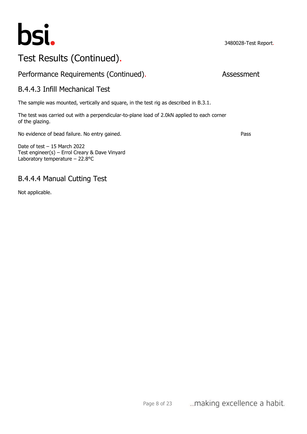

#### Performance Requirements (Continued). Assessment

#### B.4.4.3 Infill Mechanical Test

The sample was mounted, vertically and square, in the test rig as described in B.3.1.

The test was carried out with a perpendicular-to-plane load of 2.0kN applied to each corner of the glazing.

No evidence of bead failure. No entry gained. Pass

Date of test – 15 March 2022 Test engineer(s) – Errol Creary & Dave Vinyard Laboratory temperature – 22.8°C

#### B.4.4.4 Manual Cutting Test

Not applicable.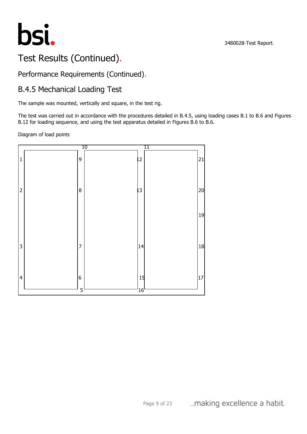

### Performance Requirements (Continued).

# B.4.5 Mechanical Loading Test

The sample was mounted, vertically and square, in the test rig.

The test was carried out in accordance with the procedures detailed in B.4.5, using loading cases B.1 to B.6 and Figures B.12 for loading sequence, and using the test apparatus detailed in Figures B.6 to B.6.

Diagram of load points

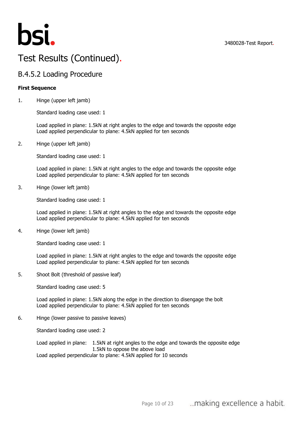

#### B.4.5.2 Loading Procedure

#### **First Sequence**

1. Hinge (upper left jamb)

Standard loading case used: 1

Load applied in plane: 1.5kN at right angles to the edge and towards the opposite edge Load applied perpendicular to plane: 4.5kN applied for ten seconds

2. Hinge (upper left jamb)

Standard loading case used: 1

Load applied in plane: 1.5kN at right angles to the edge and towards the opposite edge Load applied perpendicular to plane: 4.5kN applied for ten seconds

3. Hinge (lower left jamb)

Standard loading case used: 1

Load applied in plane: 1.5kN at right angles to the edge and towards the opposite edge Load applied perpendicular to plane: 4.5kN applied for ten seconds

4. Hinge (lower left jamb)

Standard loading case used: 1

Load applied in plane: 1.5kN at right angles to the edge and towards the opposite edge Load applied perpendicular to plane: 4.5kN applied for ten seconds

5. Shoot Bolt (threshold of passive leaf)

Standard loading case used: 5

Load applied in plane: 1.5kN along the edge in the direction to disengage the bolt Load applied perpendicular to plane: 4.5kN applied for ten seconds

6. Hinge (lower passive to passive leaves)

Standard loading case used: 2

Load applied in plane: 1.5kN at right angles to the edge and towards the opposite edge 1.5kN to oppose the above load Load applied perpendicular to plane: 4.5kN applied for 10 seconds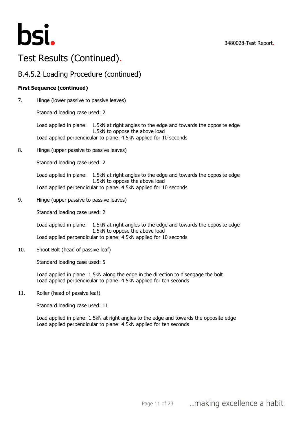

#### B.4.5.2 Loading Procedure (continued)

#### **First Sequence (continued)**

7. Hinge (lower passive to passive leaves)

Standard loading case used: 2

Load applied in plane: 1.5kN at right angles to the edge and towards the opposite edge 1.5kN to oppose the above load Load applied perpendicular to plane: 4.5kN applied for 10 seconds

8. Hinge (upper passive to passive leaves)

Standard loading case used: 2

Load applied in plane: 1.5kN at right angles to the edge and towards the opposite edge 1.5kN to oppose the above load Load applied perpendicular to plane: 4.5kN applied for 10 seconds

9. Hinge (upper passive to passive leaves)

Standard loading case used: 2

Load applied in plane: 1.5kN at right angles to the edge and towards the opposite edge 1.5kN to oppose the above load Load applied perpendicular to plane: 4.5kN applied for 10 seconds

10. Shoot Bolt (head of passive leaf)

Standard loading case used: 5

Load applied in plane: 1.5kN along the edge in the direction to disengage the bolt Load applied perpendicular to plane: 4.5kN applied for ten seconds

11. Roller (head of passive leaf)

Standard loading case used: 11

Load applied in plane: 1.5kN at right angles to the edge and towards the opposite edge Load applied perpendicular to plane: 4.5kN applied for ten seconds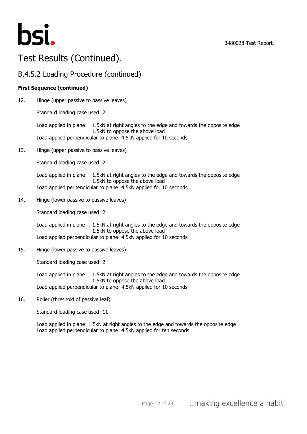

#### B.4.5.2 Loading Procedure (continued)

#### **First Sequence (continued)**

12. Hinge (upper passive to passive leaves)

Standard loading case used: 2

Load applied in plane: 1.5kN at right angles to the edge and towards the opposite edge 1.5kN to oppose the above load Load applied perpendicular to plane: 4.5kN applied for 10 seconds

13. Hinge (upper passive to passive leaves)

Standard loading case used: 2

Load applied in plane: 1.5kN at right angles to the edge and towards the opposite edge 1.5kN to oppose the above load Load applied perpendicular to plane: 4.5kN applied for 10 seconds

14. Hinge (lower passive to passive leaves)

Standard loading case used: 2

Load applied in plane: 1.5kN at right angles to the edge and towards the opposite edge 1.5kN to oppose the above load Load applied perpendicular to plane: 4.5kN applied for 10 seconds

15. Hinge (lower passive to passive leaves)

Standard loading case used: 2

Load applied in plane: 1.5kN at right angles to the edge and towards the opposite edge 1.5kN to oppose the above load Load applied perpendicular to plane: 4.5kN applied for 10 seconds

16. Roller (threshold of passive leaf)

Standard loading case used: 11

Load applied in plane: 1.5kN at right angles to the edge and towards the opposite edge Load applied perpendicular to plane: 4.5kN applied for ten seconds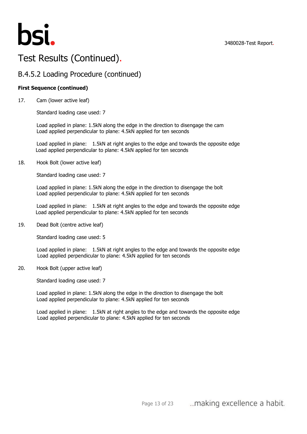

### B.4.5.2 Loading Procedure (continued)

#### **First Sequence (continued)**

17. Cam (lower active leaf)

Standard loading case used: 7

Load applied in plane: 1.5kN along the edge in the direction to disengage the cam Load applied perpendicular to plane: 4.5kN applied for ten seconds

Load applied in plane: 1.5kN at right angles to the edge and towards the opposite edge Load applied perpendicular to plane: 4.5kN applied for ten seconds

18. Hook Bolt (lower active leaf)

Standard loading case used: 7

Load applied in plane: 1.5kN along the edge in the direction to disengage the bolt Load applied perpendicular to plane: 4.5kN applied for ten seconds

Load applied in plane: 1.5kN at right angles to the edge and towards the opposite edge Load applied perpendicular to plane: 4.5kN applied for ten seconds

19. Dead Bolt (centre active leaf)

Standard loading case used: 5

Load applied in plane: 1.5kN at right angles to the edge and towards the opposite edge Load applied perpendicular to plane: 4.5kN applied for ten seconds

20. Hook Bolt (upper active leaf)

Standard loading case used: 7

Load applied in plane: 1.5kN along the edge in the direction to disengage the bolt Load applied perpendicular to plane: 4.5kN applied for ten seconds

Load applied in plane: 1.5kN at right angles to the edge and towards the opposite edge Load applied perpendicular to plane: 4.5kN applied for ten seconds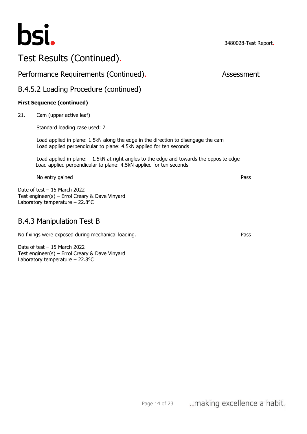

#### Performance Requirements (Continued). The expansion of Assessment

#### B.4.5.2 Loading Procedure (continued)

#### **First Sequence (continued)**

21. Cam (upper active leaf)

Standard loading case used: 7

Load applied in plane: 1.5kN along the edge in the direction to disengage the cam Load applied perpendicular to plane: 4.5kN applied for ten seconds

Load applied in plane: 1.5kN at right angles to the edge and towards the opposite edge Load applied perpendicular to plane: 4.5kN applied for ten seconds

No entry gained Pass

Date of test – 15 March 2022 Test engineer(s) – Errol Creary & Dave Vinyard Laboratory temperature – 22.8°C

#### B.4.3 Manipulation Test B

No fixings were exposed during mechanical loading. Pass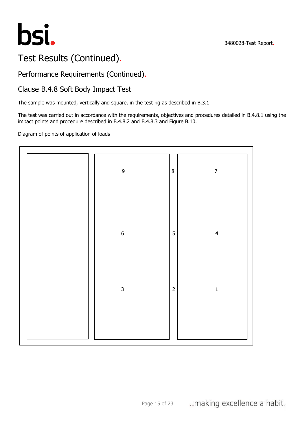



## Performance Requirements (Continued).

### Clause B.4.8 Soft Body Impact Test

The sample was mounted, vertically and square, in the test rig as described in B.3.1

The test was carried out in accordance with the requirements, objectives and procedures detailed in B.4.8.1 using the impact points and procedure described in B.4.8.2 and B.4.8.3 and Figure B.10.

#### Diagram of points of application of loads

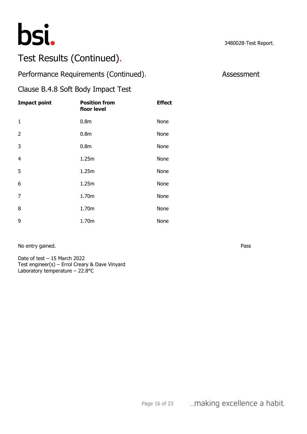

### Performance Requirements (Continued). Assessment

#### Clause B.4.8 Soft Body Impact Test

| <b>Impact point</b> | <b>Position from</b><br>floor level | <b>Effect</b> |
|---------------------|-------------------------------------|---------------|
| $\mathbf{1}$        | 0.8 <sub>m</sub>                    | None          |
| 2                   | 0.8 <sub>m</sub>                    | None          |
| 3                   | 0.8 <sub>m</sub>                    | None          |
| $\overline{4}$      | 1.25m                               | None          |
| 5                   | 1.25m                               | None          |
| 6                   | 1.25m                               | None          |
| 7                   | 1.70m                               | None          |
| 8                   | 1.70m                               | None          |
| 9                   | 1.70m                               | None          |

No entry gained. Pass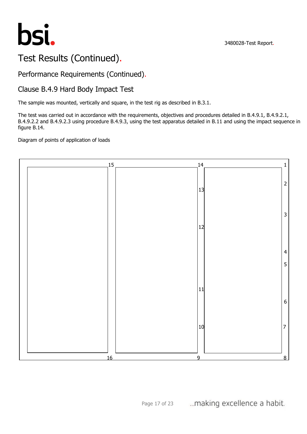

#### Performance Requirements (Continued).

#### Clause B.4.9 Hard Body Impact Test

The sample was mounted, vertically and square, in the test rig as described in B.3.1.

The test was carried out in accordance with the requirements, objectives and procedures detailed in B.4.9.1, B.4.9.2.1, B.4.9.2.2 and B.4.9.2.3 using procedure B.4.9.3, using the test apparatus detailed in B.11 and using the impact sequence in figure B.14.

#### Diagram of points of application of loads

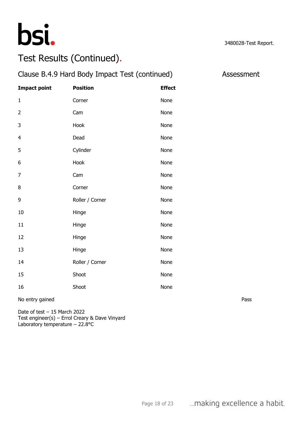

| Clause B.4.9 Hard Body Impact Test (continued)<br>Assessment |                 |               |      |
|--------------------------------------------------------------|-----------------|---------------|------|
| <b>Impact point</b>                                          | <b>Position</b> | <b>Effect</b> |      |
| $\mathbf{1}$                                                 | Corner          | None          |      |
| $\overline{2}$                                               | Cam             | None          |      |
| 3                                                            | Hook            | None          |      |
| $\overline{\mathbf{4}}$                                      | Dead            | None          |      |
| 5                                                            | Cylinder        | None          |      |
| 6                                                            | Hook            | None          |      |
| $\overline{7}$                                               | Cam             | None          |      |
| $\, 8$                                                       | Corner          | None          |      |
| $\mathsf 9$                                                  | Roller / Corner | None          |      |
| 10                                                           | Hinge           | None          |      |
| 11                                                           | Hinge           | None          |      |
| 12                                                           | Hinge           | None          |      |
| 13                                                           | Hinge           | None          |      |
| 14                                                           | Roller / Corner | None          |      |
| 15                                                           | Shoot           | None          |      |
| 16                                                           | Shoot           | None          |      |
| No entry gained                                              |                 |               | Pass |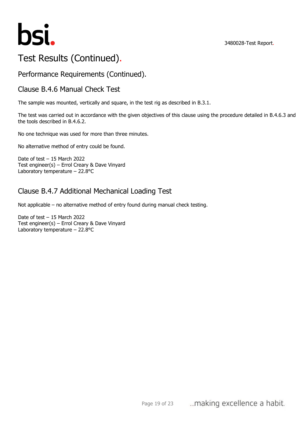

### Performance Requirements (Continued).

#### Clause B.4.6 Manual Check Test

The sample was mounted, vertically and square, in the test rig as described in B.3.1.

The test was carried out in accordance with the given objectives of this clause using the procedure detailed in B.4.6.3 and the tools described in B.4.6.2.

No one technique was used for more than three minutes.

No alternative method of entry could be found.

Date of test – 15 March 2022 Test engineer(s) – Errol Creary & Dave Vinyard Laboratory temperature – 22.8°C

#### Clause B.4.7 Additional Mechanical Loading Test

Not applicable – no alternative method of entry found during manual check testing.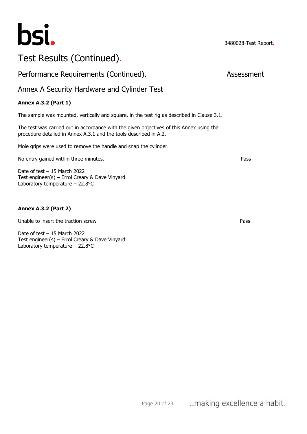

Performance Requirements (Continued). Assessment

#### Annex A Security Hardware and Cylinder Test

#### **Annex A.3.2 (Part 1)**

The sample was mounted, vertically and square, in the test rig as described in Clause 3.1.

The test was carried out in accordance with the given objectives of this Annex using the procedure detailed in Annex A.3.1 and the tools described in A.2.

Mole grips were used to remove the handle and snap the cylinder.

No entry gained within three minutes. **Pass Pass Pass** 

Date of test – 15 March 2022 Test engineer(s) – Errol Creary & Dave Vinyard Laboratory temperature – 22.8°C

#### **Annex A.3.2 (Part 2)**

Unable to insert the traction screw Pass and the traction screw Pass and the traction screw Pass and the traction screw Pass and the traction of the traction screw Pass and the traction screw Pass and the traction screw Pa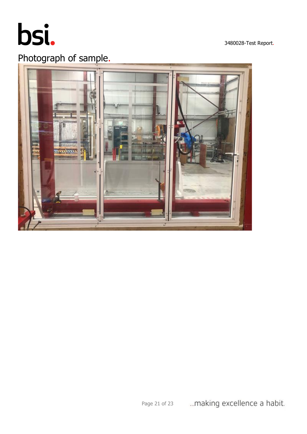

3480028-Test Report.

# Photograph of sample.

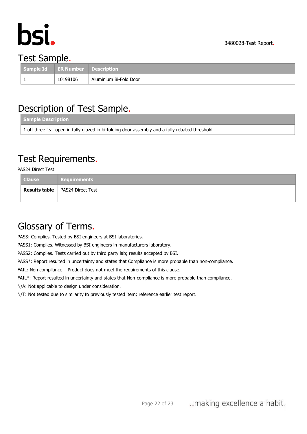

# Test Sample.

| Sample Id ER Number Description |          |                        |
|---------------------------------|----------|------------------------|
|                                 | 10198106 | Aluminium Bi-Fold Door |

# Description of Test Sample.

| Sample Description                                                                              |
|-------------------------------------------------------------------------------------------------|
| 1 off three leaf open in fully glazed in bi-folding door assembly and a fully rebated threshold |

# Test Requirements.

PAS24 Direct Test

| <b>Clause</b> | <b>Requirements</b>                      |
|---------------|------------------------------------------|
|               | <b>Results table</b>   PAS24 Direct Test |

# Glossary of Terms.

PASS: Complies. Tested by BSI engineers at BSI laboratories.

PASS1: Complies. Witnessed by BSI engineers in manufacturers laboratory.

PASS2: Complies. Tests carried out by third party lab; results accepted by BSI.

PASS\*: Report resulted in uncertainty and states that Compliance is more probable than non-compliance.

FAIL: Non compliance – Product does not meet the requirements of this clause.

FAIL\*: Report resulted in uncertainty and states that Non-compliance is more probable than compliance.

N/A: Not applicable to design under consideration.

N/T: Not tested due to similarity to previously tested item; reference earlier test report.